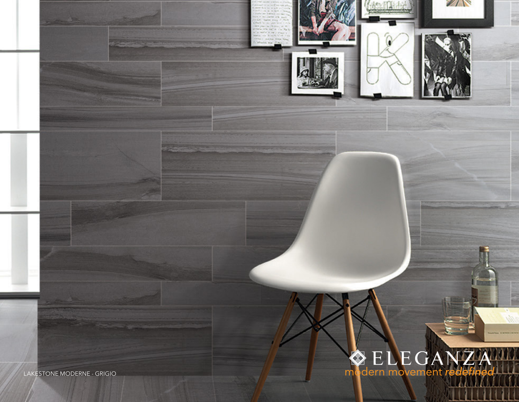